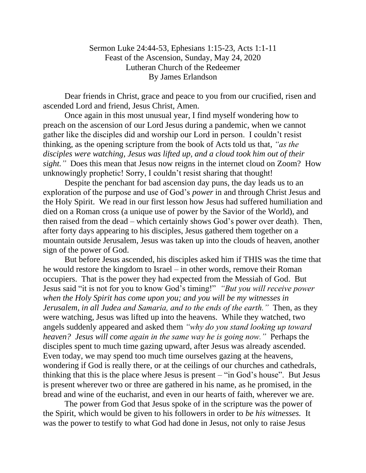Sermon Luke 24:44-53, Ephesians 1:15-23, Acts 1:1-11 Feast of the Ascension, Sunday, May 24, 2020 Lutheran Church of the Redeemer By James Erlandson

Dear friends in Christ, grace and peace to you from our crucified, risen and ascended Lord and friend, Jesus Christ, Amen.

Once again in this most unusual year, I find myself wondering how to preach on the ascension of our Lord Jesus during a pandemic, when we cannot gather like the disciples did and worship our Lord in person. I couldn't resist thinking, as the opening scripture from the book of Acts told us that, *"as the disciples were watching, Jesus was lifted up, and a cloud took him out of their sight.*" Does this mean that Jesus now reigns in the internet cloud on Zoom? How unknowingly prophetic! Sorry, I couldn't resist sharing that thought!

Despite the penchant for bad ascension day puns, the day leads us to an exploration of the purpose and use of God's *power* in and through Christ Jesus and the Holy Spirit. We read in our first lesson how Jesus had suffered humiliation and died on a Roman cross (a unique use of power by the Savior of the World), and then raised from the dead – which certainly shows God's power over death). Then, after forty days appearing to his disciples, Jesus gathered them together on a mountain outside Jerusalem, Jesus was taken up into the clouds of heaven, another sign of the power of God.

But before Jesus ascended, his disciples asked him if THIS was the time that he would restore the kingdom to Israel – in other words, remove their Roman occupiers. That is the power they had expected from the Messiah of God. But Jesus said "it is not for you to know God's timing!" *"But you will receive power when the Holy Spirit has come upon you; and you will be my witnesses in Jerusalem, in all Judea and Samaria, and to the ends of the earth."* Then, as they were watching, Jesus was lifted up into the heavens. While they watched, two angels suddenly appeared and asked them *"why do you stand looking up toward heaven? Jesus will come again in the same way he is going now."* Perhaps the disciples spent to much time gazing upward, after Jesus was already ascended. Even today, we may spend too much time ourselves gazing at the heavens, wondering if God is really there, or at the ceilings of our churches and cathedrals, thinking that this is the place where Jesus is present – "in God's house". But Jesus is present wherever two or three are gathered in his name, as he promised, in the bread and wine of the eucharist, and even in our hearts of faith, wherever we are.

The power from God that Jesus spoke of in the scripture was the power of the Spirit, which would be given to his followers in order to *be his witnesses.* It was the power to testify to what God had done in Jesus, not only to raise Jesus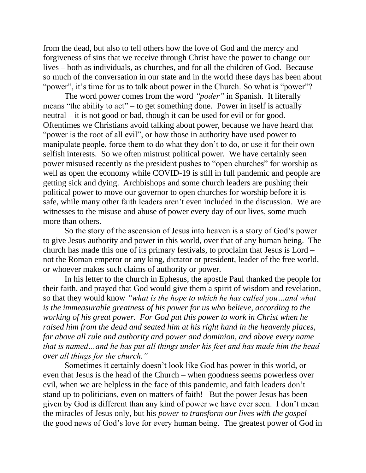from the dead, but also to tell others how the love of God and the mercy and forgiveness of sins that we receive through Christ have the power to change our lives – both as individuals, as churches, and for all the children of God. Because so much of the conversation in our state and in the world these days has been about "power", it's time for us to talk about power in the Church. So what is "power"?

The word power comes from the word *"poder"* in Spanish. It literally means "the ability to act" – to get something done. Power in itself is actually neutral – it is not good or bad, though it can be used for evil or for good. Oftentimes we Christians avoid talking about power, because we have heard that "power is the root of all evil", or how those in authority have used power to manipulate people, force them to do what they don't to do, or use it for their own selfish interests. So we often mistrust political power. We have certainly seen power misused recently as the president pushes to "open churches" for worship as well as open the economy while COVID-19 is still in full pandemic and people are getting sick and dying. Archbishops and some church leaders are pushing their political power to move our governor to open churches for worship before it is safe, while many other faith leaders aren't even included in the discussion. We are witnesses to the misuse and abuse of power every day of our lives, some much more than others.

So the story of the ascension of Jesus into heaven is a story of God's power to give Jesus authority and power in this world, over that of any human being. The church has made this one of its primary festivals, to proclaim that Jesus is Lord – not the Roman emperor or any king, dictator or president, leader of the free world, or whoever makes such claims of authority or power.

In his letter to the church in Ephesus, the apostle Paul thanked the people for their faith, and prayed that God would give them a spirit of wisdom and revelation, so that they would know *"what is the hope to which he has called you…and what is the immeasurable greatness of his power for us who believe, according to the working of his great power. For God put this power to work in Christ when he raised him from the dead and seated him at his right hand in the heavenly places, far above all rule and authority and power and dominion, and above every name that is named…and he has put all things under his feet and has made him the head over all things for the church."*

Sometimes it certainly doesn't look like God has power in this world, or even that Jesus is the head of the Church – when goodness seems powerless over evil, when we are helpless in the face of this pandemic, and faith leaders don't stand up to politicians, even on matters of faith! But the power Jesus has been given by God is different than any kind of power we have ever seen. I don't mean the miracles of Jesus only, but his *power to transform our lives with the gospel* – the good news of God's love for every human being. The greatest power of God in